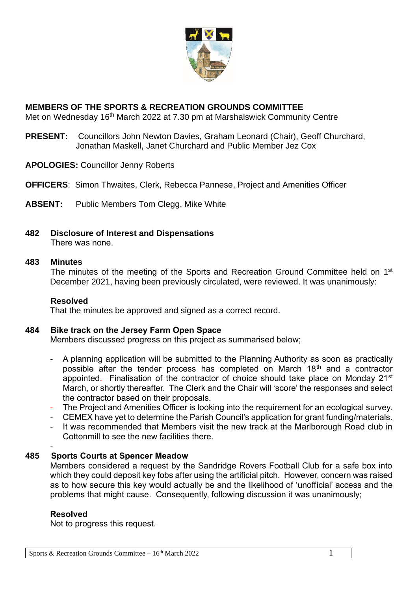

# **MEMBERS OF THE SPORTS & RECREATION GROUNDS COMMITTEE**

Met on Wednesday 16<sup>th</sup> March 2022 at 7.30 pm at Marshalswick Community Centre

- **PRESENT:** Councillors John Newton Davies, Graham Leonard (Chair), Geoff Churchard, Jonathan Maskell, Janet Churchard and Public Member Jez Cox
- **APOLOGIES:** Councillor Jenny Roberts
- **OFFICERS**: Simon Thwaites, Clerk, Rebecca Pannese, Project and Amenities Officer
- **ABSENT:** Public Members Tom Clegg, Mike White
- **482 Disclosure of Interest and Dispensations** There was none.

## **483 Minutes**

The minutes of the meeting of the Sports and Recreation Ground Committee held on 1<sup>st</sup> December 2021, having been previously circulated, were reviewed. It was unanimously:

## **Resolved**

That the minutes be approved and signed as a correct record.

## **484 Bike track on the Jersey Farm Open Space**

Members discussed progress on this project as summarised below;

- A planning application will be submitted to the Planning Authority as soon as practically possible after the tender process has completed on March  $18<sup>th</sup>$  and a contractor appointed. Finalisation of the contractor of choice should take place on Monday 21<sup>st</sup> March, or shortly thereafter. The Clerk and the Chair will 'score' the responses and select the contractor based on their proposals.
- The Project and Amenities Officer is looking into the requirement for an ecological survey.
- CEMEX have yet to determine the Parish Council's application for grant funding/materials.
- It was recommended that Members visit the new track at the Marlborough Road club in Cottonmill to see the new facilities there.

#### - **485 Sports Courts at Spencer Meadow**

Members considered a request by the Sandridge Rovers Football Club for a safe box into which they could deposit key fobs after using the artificial pitch. However, concern was raised as to how secure this key would actually be and the likelihood of 'unofficial' access and the problems that might cause. Consequently, following discussion it was unanimously;

# **Resolved**

Not to progress this request.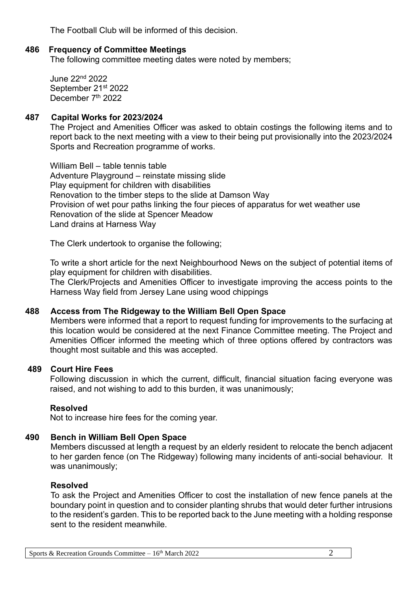The Football Club will be informed of this decision.

# **486 Frequency of Committee Meetings**

The following committee meeting dates were noted by members;

June 22nd 2022 September 21st 2022 December 7<sup>th</sup> 2022

## **487 Capital Works for 2023/2024**

The Project and Amenities Officer was asked to obtain costings the following items and to report back to the next meeting with a view to their being put provisionally into the 2023/2024 Sports and Recreation programme of works.

William Bell – table tennis table Adventure Playground – reinstate missing slide Play equipment for children with disabilities Renovation to the timber steps to the slide at Damson Way Provision of wet pour paths linking the four pieces of apparatus for wet weather use Renovation of the slide at Spencer Meadow Land drains at Harness Way

The Clerk undertook to organise the following;

To write a short article for the next Neighbourhood News on the subject of potential items of play equipment for children with disabilities.

The Clerk/Projects and Amenities Officer to investigate improving the access points to the Harness Way field from Jersey Lane using wood chippings

## **488 Access from The Ridgeway to the William Bell Open Space**

Members were informed that a report to request funding for improvements to the surfacing at this location would be considered at the next Finance Committee meeting. The Project and Amenities Officer informed the meeting which of three options offered by contractors was thought most suitable and this was accepted.

## **489 Court Hire Fees**

Following discussion in which the current, difficult, financial situation facing everyone was raised, and not wishing to add to this burden, it was unanimously;

## **Resolved**

Not to increase hire fees for the coming year.

## **490 Bench in William Bell Open Space**

Members discussed at length a request by an elderly resident to relocate the bench adjacent to her garden fence (on The Ridgeway) following many incidents of anti-social behaviour. It was unanimously;

## **Resolved**

To ask the Project and Amenities Officer to cost the installation of new fence panels at the boundary point in question and to consider planting shrubs that would deter further intrusions to the resident's garden. This to be reported back to the June meeting with a holding response sent to the resident meanwhile.